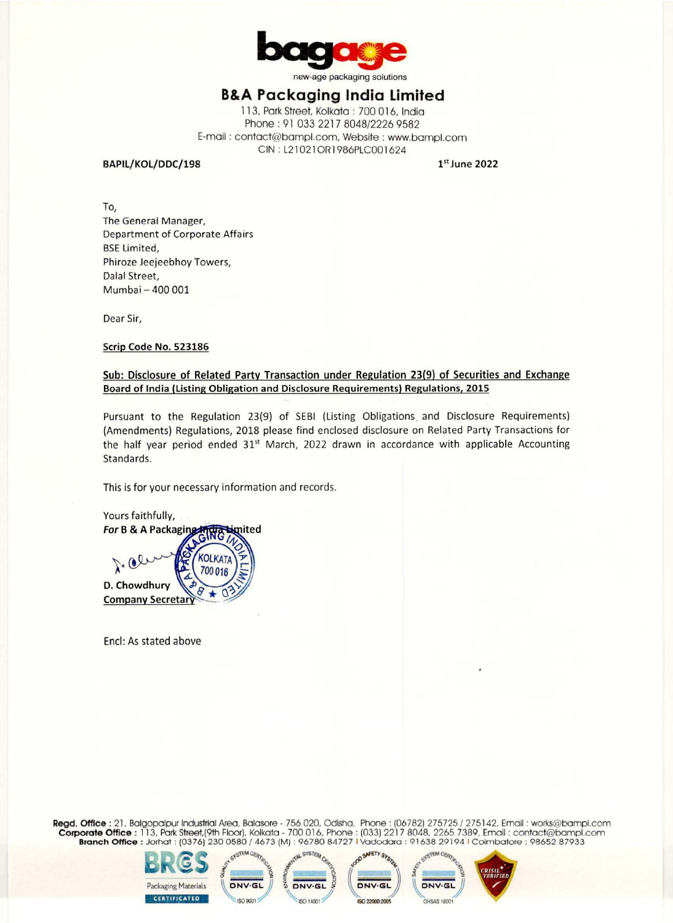

new-age packaging solutions

## **B&A Packaging India Limited**

113, Park Street, Kolkata : 700 016, India Phone: 91 033 2217 8048/2226 9582 E-mail : contact@bampl.com, Website : www.bampl.com CIN : L21021 ORl 986PLC001624

**BAPIL/ KOL/ DDC/198** 

**1st June 2022** 

To, The General Manager, Department of Corporate Affairs **BSE** Limited. Phiroze Jeejeebhoy Towers, Dalal Street, Mumbai - 400 001

Dear Sir,

## **Scrip Code No. 523186**

## **Sub: Disclosure of Related Party Transaction under Regulation 23(9) of Securities and Exchange Board of India (Listing Obligation and Disclosure Requirements) Regulations, 2015**

Pursuant to the Regulation 23(9) of SEBI (Listing Obligations and Disclosure Requirements) (Amendments) Regulations, 2018 please find enclosed disclosure on Related Party Transactions for the half year period ended  $31<sup>st</sup>$  March, 2022 drawn in accordance with applicable Accounting Standards.

This is for your necessary information and records.



Encl: As stated above

**Regd. Office:** 21, Balgopalpur Industrial Area, Balasore - 756 020, Odisha, Phone: (06782) 275725 / 275142, Email : works@bampl.com **Corporate Office :** 11 3, Park Street,(9th Floor), Kolkata - 700 016, Phone : (033) 221 7 8048, 2265 7389, Email: contact@bampl.com **Branch Office** : Jorhat : (0376) 230 0580 / 4673 (M) : 96780 84727 I Vadodara : 91638 29194 I Coimbatore : 98652 87933